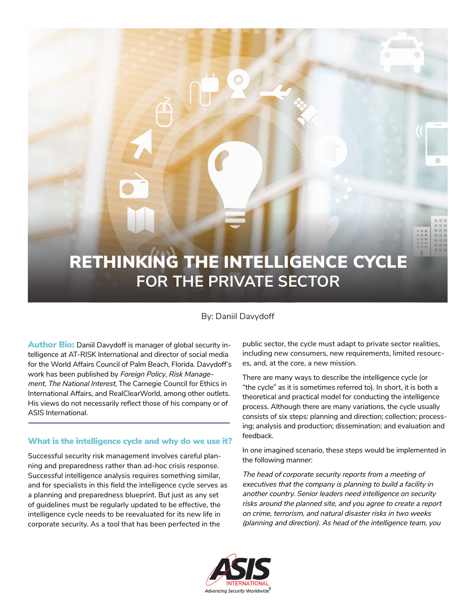

# By: Daniil Davydoff

**Author Bio:** Daniil Davydoff is manager of global security intelligence at AT-RISK International and director of social media for the World Affairs Council of Palm Beach, Florida. Davydoff's work has been published by *Foreign Policy*, *Risk Management*, *The National Interest*, The Carnegie Council for Ethics in International Affairs, and RealClearWorld, among other outlets. His views do not necessarily reflect those of his company or of ASIS International.

## What is the intelligence cycle and why do we use it?

Successful security risk management involves careful planning and preparedness rather than ad-hoc crisis response. Successful intelligence analysis requires something similar, and for specialists in this field the intelligence cycle serves as a planning and preparedness blueprint. But just as any set of guidelines must be regularly updated to be effective, the intelligence cycle needs to be reevaluated for its new life in corporate security. As a tool that has been perfected in the

public sector, the cycle must adapt to private sector realities, including new consumers, new requirements, limited resources, and, at the core, a new mission.

There are many ways to describe the intelligence cycle (or "the cycle" as it is sometimes referred to). In short, it is both a theoretical and practical model for conducting the intelligence process. Although there are many variations, the cycle usually consists of six steps: planning and direction; collection; processing; analysis and production; dissemination; and evaluation and feedback.

In one imagined scenario, these steps would be implemented in the following manner:

*The head of corporate security reports from a meeting of executives that the company is planning to build a facility in another country. Senior leaders need intelligence on security risks around the planned site, and you agree to create a report on crime, terrorism, and natural disaster risks in two weeks (planning and direction). As head of the intelligence team, you* 

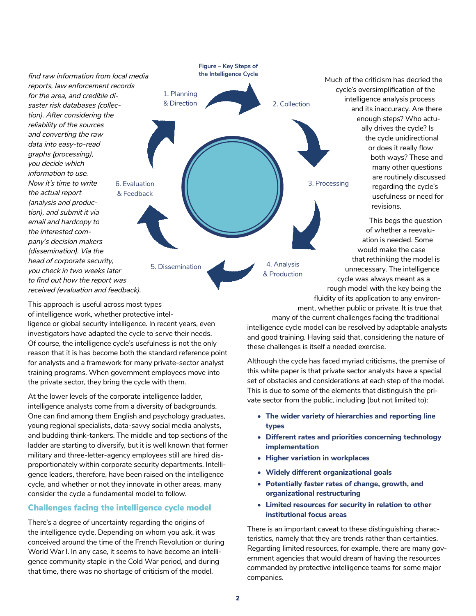

This approach is useful across most types of intelligence work, whether protective intelligence or global security intelligence. In recent years, even investigators have adapted the cycle to serve their needs. Of course, the intelligence cycle's usefulness is not the only reason that it is has become both the standard reference point for analysts and a framework for many private-sector analyst training programs. When government employees move into the private sector, they bring the cycle with them.

At the lower levels of the corporate intelligence ladder, intelligence analysts come from a diversity of backgrounds. One can find among them English and psychology graduates, young regional specialists, data-savvy social media analysts, and budding think-tankers. The middle and top sections of the ladder are starting to diversify, but it is well known that former military and three-letter-agency employees still are hired disproportionately within corporate security departments. Intelligence leaders, therefore, have been raised on the intelligence cycle, and whether or not they innovate in other areas, many consider the cycle a fundamental model to follow.

## Challenges facing the intelligence cycle model

There's a degree of uncertainty regarding the origins of the intelligence cycle. Depending on whom you ask, it was conceived around the time of the French Revolution or during World War I. In any case, it seems to have become an intelligence community staple in the Cold War period, and during that time, there was no shortage of criticism of the model.

many of the current challenges facing the traditional intelligence cycle model can be resolved by adaptable analysts and good training. Having said that, considering the nature of these challenges is itself a needed exercise.

ment, whether public or private. It is true that

Although the cycle has faced myriad criticisms, the premise of this white paper is that private sector analysts have a special set of obstacles and considerations at each step of the model. This is due to some of the elements that distinguish the private sector from the public, including (but not limited to):

- **The wider variety of hierarchies and reporting line types**
- **Different rates and priorities concerning technology implementation**
- **Higher variation in workplaces**
- **Widely different organizational goals**
- **Potentially faster rates of change, growth, and organizational restructuring**
- **Limited resources for security in relation to other institutional focus areas**

There is an important caveat to these distinguishing characteristics, namely that they are trends rather than certainties. Regarding limited resources, for example, there are many government agencies that would dream of having the resources commanded by protective intelligence teams for some major companies.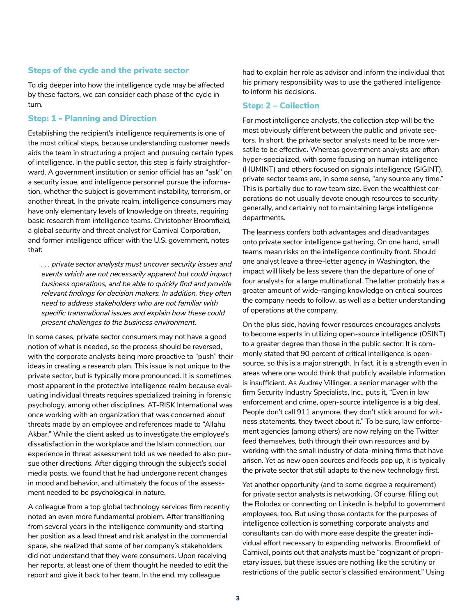### Steps of the cycle and the private sector

To dig deeper into how the intelligence cycle may be affected by these factors, we can consider each phase of the cycle in turn.

#### Step: 1 - Planning and Direction

Establishing the recipient's intelligence requirements is one of the most critical steps, because understanding customer needs aids the team in structuring a project and pursuing certain types of intelligence. In the public sector, this step is fairly straightforward. A government institution or senior official has an "ask" on a security issue, and intelligence personnel pursue the information, whether the subject is government instability, terrorism, or another threat. In the private realm, intelligence consumers may have only elementary levels of knowledge on threats, requiring basic research from intelligence teams. Christopher Broomfield, a global security and threat analyst for Carnival Corporation, and former intelligence officer with the U.S. government, notes that:

*. . . private sector analysts must uncover security issues and events which are not necessarily apparent but could impact business operations, and be able to quickly find and provide relevant findings for decision makers. In addition, they often need to address stakeholders who are not familiar with specific transnational issues and explain how these could present challenges to the business environment.*

In some cases, private sector consumers may not have a good notion of what is needed, so the process should be reversed, with the corporate analysts being more proactive to "push" their ideas in creating a research plan. This issue is not unique to the private sector, but is typically more pronounced. It is sometimes most apparent in the protective intelligence realm because evaluating individual threats requires specialized training in forensic psychology, among other disciplines. AT-RISK International was once working with an organization that was concerned about threats made by an employee and references made to "Allahu Akbar." While the client asked us to investigate the employee's dissatisfaction in the workplace and the Islam connection, our experience in threat assessment told us we needed to also pursue other directions. After digging through the subject's social media posts, we found that he had undergone recent changes in mood and behavior, and ultimately the focus of the assessment needed to be psychological in nature.

A colleague from a top global technology services firm recently noted an even more fundamental problem. After transitioning from several years in the intelligence community and starting her position as a lead threat and risk analyst in the commercial space, she realized that some of her company's stakeholders did not understand that they were consumers. Upon receiving her reports, at least one of them thought he needed to edit the report and give it back to her team. In the end, my colleague

had to explain her role as advisor and inform the individual that his primary responsibility was to use the gathered intelligence to inform his decisions.

#### Step: 2 – Collection

For most intelligence analysts, the collection step will be the most obviously different between the public and private sectors. In short, the private sector analysts need to be more versatile to be effective. Whereas government analysts are often hyper-specialized, with some focusing on human intelligence (HUMINT) and others focused on signals intelligence (SIGINT), private sector teams are, in some sense, "any source any time." This is partially due to raw team size. Even the wealthiest corporations do not usually devote enough resources to security generally, and certainly not to maintaining large intelligence departments.

The leanness confers both advantages and disadvantages onto private sector intelligence gathering. On one hand, small teams mean risks on the intelligence continuity front. Should one analyst leave a three-letter agency in Washington, the impact will likely be less severe than the departure of one of four analysts for a large multinational. The latter probably has a greater amount of wide-ranging knowledge on critical sources the company needs to follow, as well as a better understanding of operations at the company.

On the plus side, having fewer resources encourages analysts to become experts in utilizing open-source intelligence (OSINT) to a greater degree than those in the public sector. It is commonly stated that 90 percent of critical intelligence is opensource, so this is a major strength. In fact, it is a strength even in areas where one would think that publicly available information is insufficient. As Audrey Villinger, a senior manager with the firm Security Industry Specialists, Inc., puts it, "Even in law enforcement and crime, open-source intelligence is a big deal. People don't call 911 anymore, they don't stick around for witness statements, they tweet about it." To be sure, law enforcement agencies (among others) are now relying on the Twitter feed themselves, both through their own resources and by working with the small industry of data-mining firms that have arisen. Yet as new open sources and feeds pop up, it is typically the private sector that still adapts to the new technology first.

Yet another opportunity (and to some degree a requirement) for private sector analysts is networking. Of course, filling out the Rolodex or connecting on LinkedIn is helpful to government employees, too. But using those contacts for the purposes of intelligence collection is something corporate analysts and consultants can do with more ease despite the greater individual effort necessary to expanding networks. Broomfield, of Carnival, points out that analysts must be "cognizant of proprietary issues, but these issues are nothing like the scrutiny or restrictions of the public sector's classified environment." Using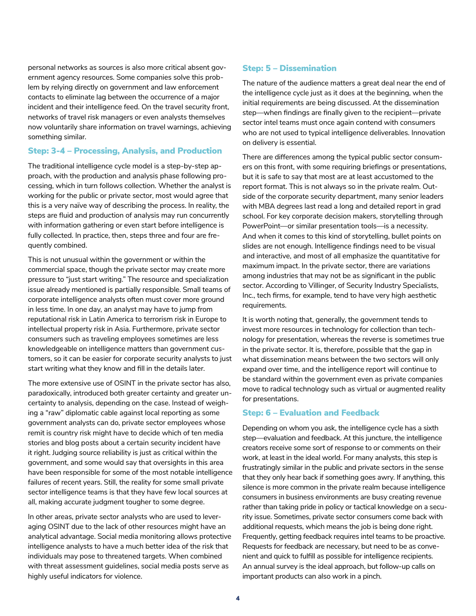personal networks as sources is also more critical absent government agency resources. Some companies solve this problem by relying directly on government and law enforcement contacts to eliminate lag between the occurrence of a major incident and their intelligence feed. On the travel security front, networks of travel risk managers or even analysts themselves now voluntarily share information on travel warnings, achieving something similar.

#### Step: 3-4 – Processing, Analysis, and Production

The traditional intelligence cycle model is a step-by-step approach, with the production and analysis phase following processing, which in turn follows collection. Whether the analyst is working for the public or private sector, most would agree that this is a very naïve way of describing the process. In reality, the steps are fluid and production of analysis may run concurrently with information gathering or even start before intelligence is fully collected. In practice, then, steps three and four are frequently combined.

This is not unusual within the government or within the commercial space, though the private sector may create more pressure to "just start writing." The resource and specialization issue already mentioned is partially responsible. Small teams of corporate intelligence analysts often must cover more ground in less time. In one day, an analyst may have to jump from reputational risk in Latin America to terrorism risk in Europe to intellectual property risk in Asia. Furthermore, private sector consumers such as traveling employees sometimes are less knowledgeable on intelligence matters than government customers, so it can be easier for corporate security analysts to just start writing what they know and fill in the details later.

The more extensive use of OSINT in the private sector has also, paradoxically, introduced both greater certainty and greater uncertainty to analysis, depending on the case. Instead of weighing a "raw" diplomatic cable against local reporting as some government analysts can do, private sector employees whose remit is country risk might have to decide which of ten media stories and blog posts about a certain security incident have it right. Judging source reliability is just as critical within the government, and some would say that oversights in this area have been responsible for some of the most notable intelligence failures of recent years. Still, the reality for some small private sector intelligence teams is that they have few local sources at all, making accurate judgment tougher to some degree.

In other areas, private sector analysts who are used to leveraging OSINT due to the lack of other resources might have an analytical advantage. Social media monitoring allows protective intelligence analysts to have a much better idea of the risk that individuals may pose to threatened targets. When combined with threat assessment guidelines, social media posts serve as highly useful indicators for violence.

# Step: 5 – Dissemination

The nature of the audience matters a great deal near the end of the intelligence cycle just as it does at the beginning, when the initial requirements are being discussed. At the dissemination step—when findings are finally given to the recipient—private sector intel teams must once again contend with consumers who are not used to typical intelligence deliverables. Innovation on delivery is essential.

There are differences among the typical public sector consumers on this front, with some requiring briefings or presentations, but it is safe to say that most are at least accustomed to the report format. This is not always so in the private realm. Outside of the corporate security department, many senior leaders with MBA degrees last read a long and detailed report in grad school. For key corporate decision makers, storytelling through PowerPoint—or similar presentation tools—is a necessity. And when it comes to this kind of storytelling, bullet points on slides are not enough. Intelligence findings need to be visual and interactive, and most of all emphasize the quantitative for maximum impact. In the private sector, there are variations among industries that may not be as significant in the public sector. According to Villinger, of Security Industry Specialists, Inc., tech firms, for example, tend to have very high aesthetic requirements.

It is worth noting that, generally, the government tends to invest more resources in technology for collection than technology for presentation, whereas the reverse is sometimes true in the private sector. It is, therefore, possible that the gap in what dissemination means between the two sectors will only expand over time, and the intelligence report will continue to be standard within the government even as private companies move to radical technology such as virtual or augmented reality for presentations.

## Step: 6 – Evaluation and Feedback

Depending on whom you ask, the intelligence cycle has a sixth step—evaluation and feedback. At this juncture, the intelligence creators receive some sort of response to or comments on their work, at least in the ideal world. For many analysts, this step is frustratingly similar in the public and private sectors in the sense that they only hear back if something goes awry. If anything, this silence is more common in the private realm because intelligence consumers in business environments are busy creating revenue rather than taking pride in policy or tactical knowledge on a security issue. Sometimes, private sector consumers come back with additional requests, which means the job is being done right. Frequently, getting feedback requires intel teams to be proactive. Requests for feedback are necessary, but need to be as convenient and quick to fulfill as possible for intelligence recipients. An annual survey is the ideal approach, but follow-up calls on important products can also work in a pinch.